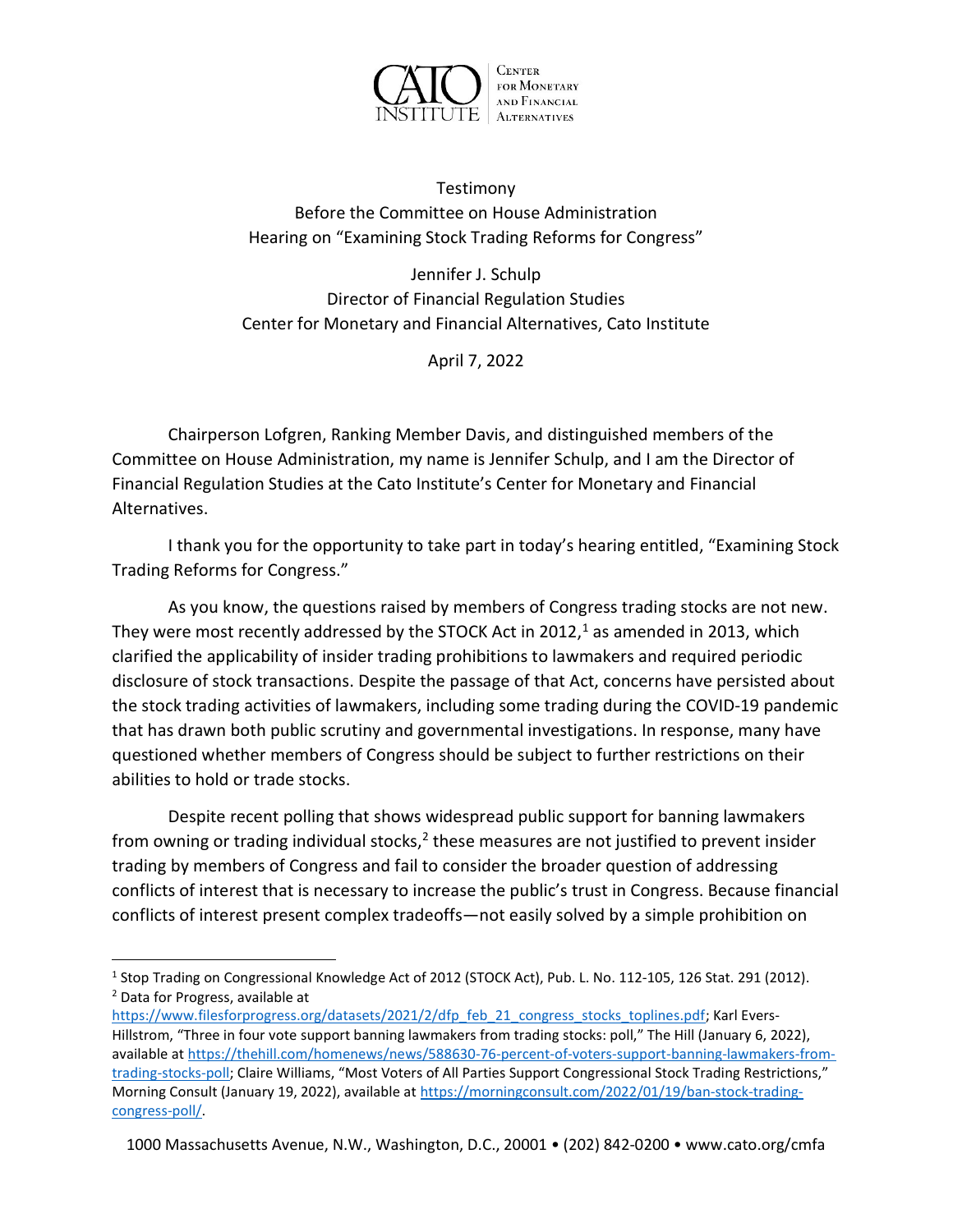

Testimony Before the Committee on House Administration Hearing on "Examining Stock Trading Reforms for Congress"

Jennifer J. Schulp Director of Financial Regulation Studies Center for Monetary and Financial Alternatives, Cato Institute

April 7, 2022

Chairperson Lofgren, Ranking Member Davis, and distinguished members of the Committee on House Administration, my name is Jennifer Schulp, and I am the Director of Financial Regulation Studies at the Cato Institute's Center for Monetary and Financial Alternatives.

I thank you for the opportunity to take part in today's hearing entitled, "Examining Stock Trading Reforms for Congress."

As you know, the questions raised by members of Congress trading stocks are not new. They were most recently addressed by the STOCK Act in 2012,<sup>1</sup> as amended in 2013, which clarified the applicability of insider trading prohibitions to lawmakers and required periodic disclosure of stock transactions. Despite the passage of that Act, concerns have persisted about the stock trading activities of lawmakers, including some trading during the COVID-19 pandemic that has drawn both public scrutiny and governmental investigations. In response, many have questioned whether members of Congress should be subject to further restrictions on their abilities to hold or trade stocks.

Despite recent polling that shows widespread public support for banning lawmakers from owning or trading individual stocks,<sup>2</sup> these measures are not justified to prevent insider trading by members of Congress and fail to consider the broader question of addressing conflicts of interest that is necessary to increase the public's trust in Congress. Because financial conflicts of interest present complex tradeoffs—not easily solved by a simple prohibition on

1000 Massachusetts Avenue, N.W., Washington, D.C., 20001 • (202) 842-0200 • www.cato.org/cmfa

<sup>&</sup>lt;sup>1</sup> Stop Trading on Congressional Knowledge Act of 2012 (STOCK Act), Pub. L. No. 112-105, 126 Stat. 291 (2012). <sup>2</sup> Data for Progress, available at

https://www.filesforprogress.org/datasets/2021/2/dfp\_feb\_21\_congress\_stocks\_toplines.pdf; Karl Evers-Hillstrom, "Three in four vote support banning lawmakers from trading stocks: poll," The Hill (January 6, 2022), available at https://thehill.com/homenews/news/588630-76-percent-of-voters-support-banning-lawmakers-fromtrading-stocks-poll; Claire Williams, "Most Voters of All Parties Support Congressional Stock Trading Restrictions," Morning Consult (January 19, 2022), available at https://morningconsult.com/2022/01/19/ban-stock-tradingcongress-poll/.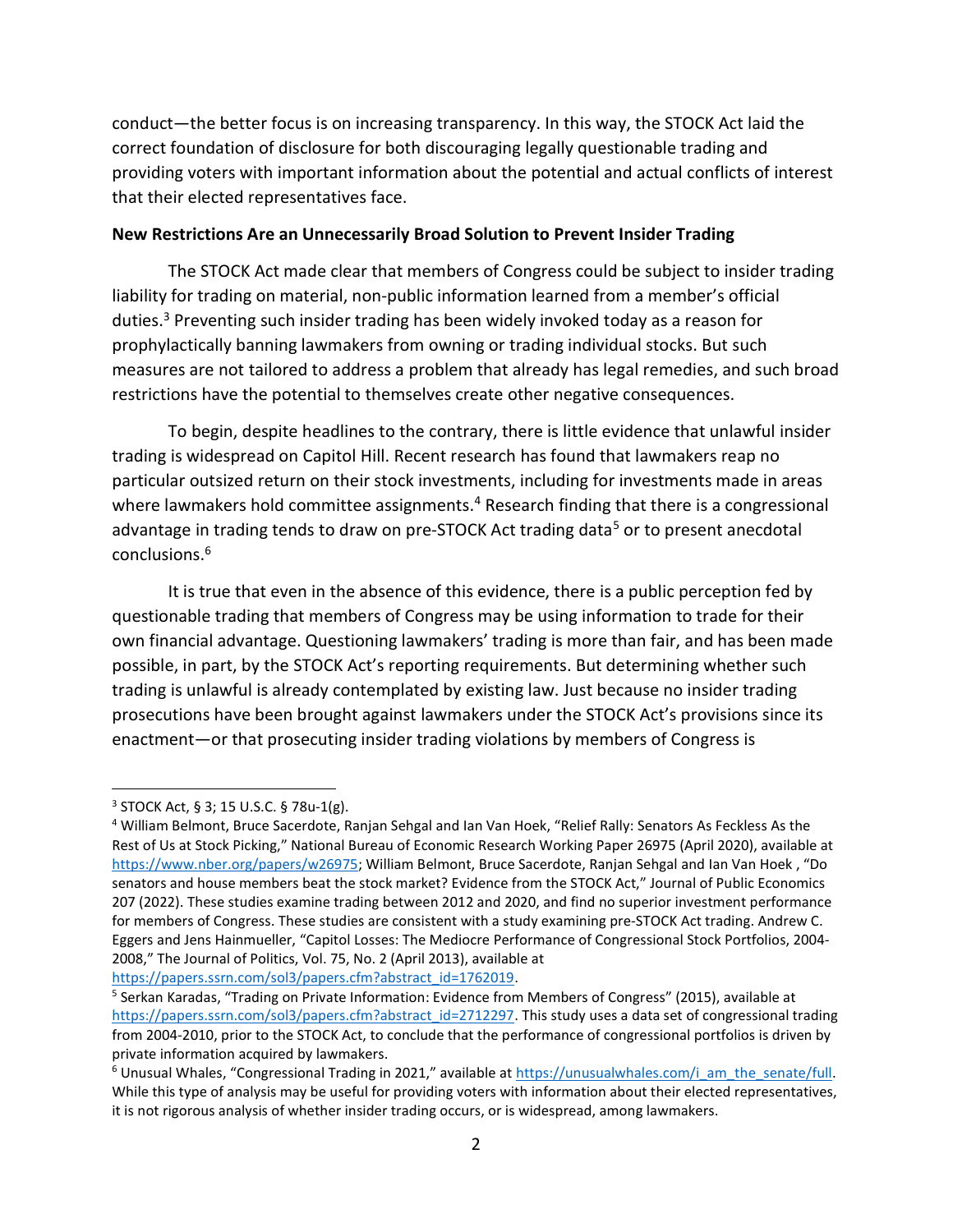conduct—the better focus is on increasing transparency. In this way, the STOCK Act laid the correct foundation of disclosure for both discouraging legally questionable trading and providing voters with important information about the potential and actual conflicts of interest that their elected representatives face.

## New Restrictions Are an Unnecessarily Broad Solution to Prevent Insider Trading

The STOCK Act made clear that members of Congress could be subject to insider trading liability for trading on material, non-public information learned from a member's official duties.<sup>3</sup> Preventing such insider trading has been widely invoked today as a reason for prophylactically banning lawmakers from owning or trading individual stocks. But such measures are not tailored to address a problem that already has legal remedies, and such broad restrictions have the potential to themselves create other negative consequences.

To begin, despite headlines to the contrary, there is little evidence that unlawful insider trading is widespread on Capitol Hill. Recent research has found that lawmakers reap no particular outsized return on their stock investments, including for investments made in areas where lawmakers hold committee assignments.<sup>4</sup> Research finding that there is a congressional advantage in trading tends to draw on pre-STOCK Act trading data<sup>5</sup> or to present anecdotal conclusions.<sup>6</sup>

It is true that even in the absence of this evidence, there is a public perception fed by questionable trading that members of Congress may be using information to trade for their own financial advantage. Questioning lawmakers' trading is more than fair, and has been made possible, in part, by the STOCK Act's reporting requirements. But determining whether such trading is unlawful is already contemplated by existing law. Just because no insider trading prosecutions have been brought against lawmakers under the STOCK Act's provisions since its enactment—or that prosecuting insider trading violations by members of Congress is

https://papers.ssrn.com/sol3/papers.cfm?abstract\_id=1762019.

<sup>3</sup> STOCK Act, § 3; 15 U.S.C. § 78u-1(g).

<sup>&</sup>lt;sup>4</sup> William Belmont, Bruce Sacerdote, Ranjan Sehgal and Ian Van Hoek, "Relief Rally: Senators As Feckless As the Rest of Us at Stock Picking," National Bureau of Economic Research Working Paper 26975 (April 2020), available at https://www.nber.org/papers/w26975; William Belmont, Bruce Sacerdote, Ranjan Sehgal and Ian Van Hoek , "Do senators and house members beat the stock market? Evidence from the STOCK Act," Journal of Public Economics 207 (2022). These studies examine trading between 2012 and 2020, and find no superior investment performance for members of Congress. These studies are consistent with a study examining pre-STOCK Act trading. Andrew C. Eggers and Jens Hainmueller, "Capitol Losses: The Mediocre Performance of Congressional Stock Portfolios, 2004- 2008," The Journal of Politics, Vol. 75, No. 2 (April 2013), available at

<sup>&</sup>lt;sup>5</sup> Serkan Karadas, "Trading on Private Information: Evidence from Members of Congress" (2015), available at https://papers.ssrn.com/sol3/papers.cfm?abstract\_id=2712297. This study uses a data set of congressional trading from 2004-2010, prior to the STOCK Act, to conclude that the performance of congressional portfolios is driven by private information acquired by lawmakers.

<sup>&</sup>lt;sup>6</sup> Unusual Whales, "Congressional Trading in 2021," available at https://unusualwhales.com/i\_am\_the\_senate/full. While this type of analysis may be useful for providing voters with information about their elected representatives, it is not rigorous analysis of whether insider trading occurs, or is widespread, among lawmakers.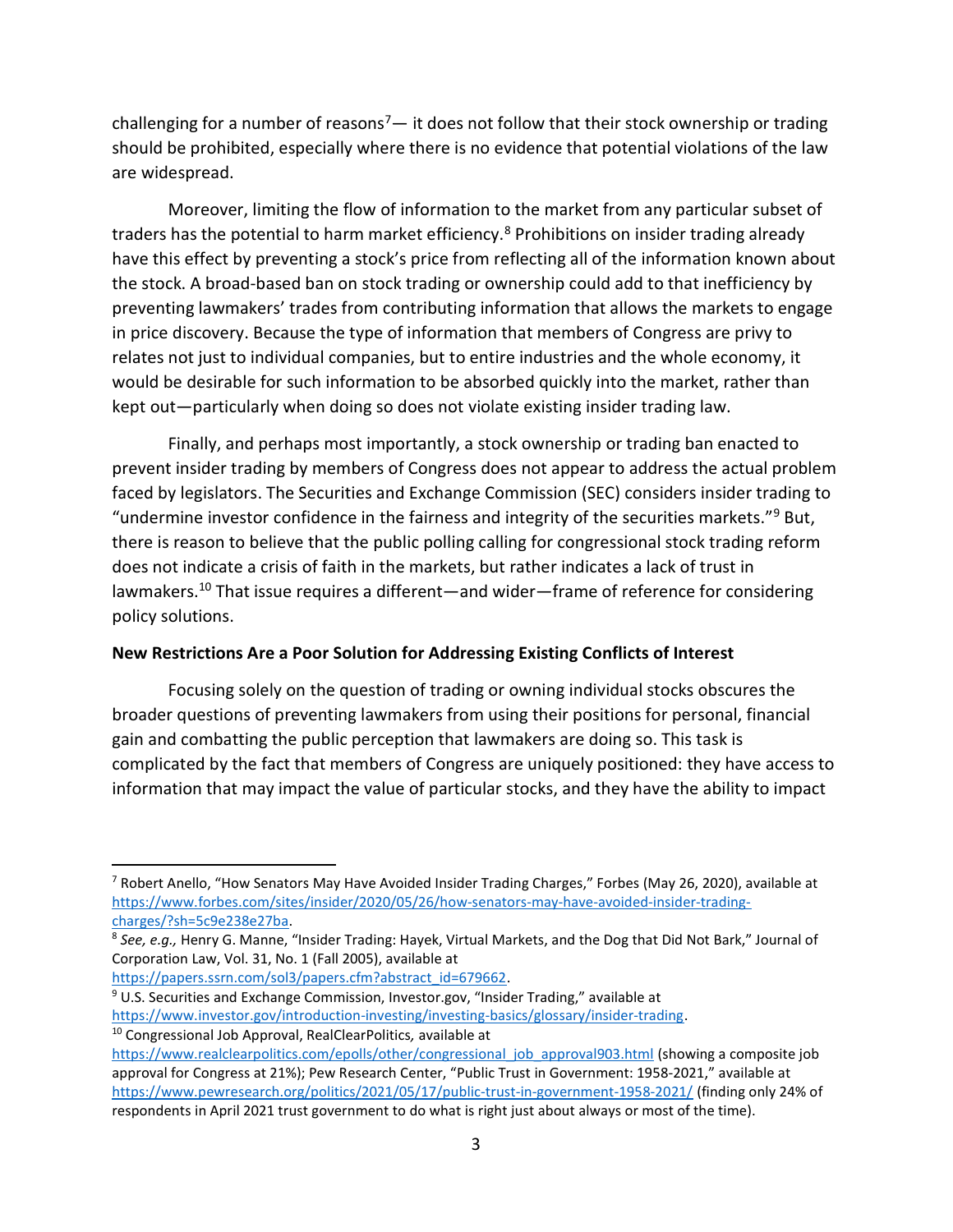challenging for a number of reasons<sup>7</sup>— it does not follow that their stock ownership or trading should be prohibited, especially where there is no evidence that potential violations of the law are widespread.

Moreover, limiting the flow of information to the market from any particular subset of traders has the potential to harm market efficiency.<sup>8</sup> Prohibitions on insider trading already have this effect by preventing a stock's price from reflecting all of the information known about the stock. A broad-based ban on stock trading or ownership could add to that inefficiency by preventing lawmakers' trades from contributing information that allows the markets to engage in price discovery. Because the type of information that members of Congress are privy to relates not just to individual companies, but to entire industries and the whole economy, it would be desirable for such information to be absorbed quickly into the market, rather than kept out—particularly when doing so does not violate existing insider trading law.

Finally, and perhaps most importantly, a stock ownership or trading ban enacted to prevent insider trading by members of Congress does not appear to address the actual problem faced by legislators. The Securities and Exchange Commission (SEC) considers insider trading to "undermine investor confidence in the fairness and integrity of the securities markets."<sup>9</sup> But, there is reason to believe that the public polling calling for congressional stock trading reform does not indicate a crisis of faith in the markets, but rather indicates a lack of trust in lawmakers.<sup>10</sup> That issue requires a different—and wider—frame of reference for considering policy solutions.

## New Restrictions Are a Poor Solution for Addressing Existing Conflicts of Interest

Focusing solely on the question of trading or owning individual stocks obscures the broader questions of preventing lawmakers from using their positions for personal, financial gain and combatting the public perception that lawmakers are doing so. This task is complicated by the fact that members of Congress are uniquely positioned: they have access to information that may impact the value of particular stocks, and they have the ability to impact

<sup>9</sup> U.S. Securities and Exchange Commission, Investor.gov, "Insider Trading," available at https://www.investor.gov/introduction-investing/investing-basics/glossary/insider-trading.

<sup>&</sup>lt;sup>7</sup> Robert Anello, "How Senators May Have Avoided Insider Trading Charges," Forbes (May 26, 2020), available at https://www.forbes.com/sites/insider/2020/05/26/how-senators-may-have-avoided-insider-tradingcharges/?sh=5c9e238e27ba.

<sup>&</sup>lt;sup>8</sup> See, e.g., Henry G. Manne, "Insider Trading: Hayek, Virtual Markets, and the Dog that Did Not Bark," Journal of Corporation Law, Vol. 31, No. 1 (Fall 2005), available at

https://papers.ssrn.com/sol3/papers.cfm?abstract\_id=679662.

<sup>&</sup>lt;sup>10</sup> Congressional Job Approval, RealClearPolitics, available at

https://www.realclearpolitics.com/epolls/other/congressional\_job\_approval903.html (showing a composite job approval for Congress at 21%); Pew Research Center, "Public Trust in Government: 1958-2021," available at https://www.pewresearch.org/politics/2021/05/17/public-trust-in-government-1958-2021/ (finding only 24% of respondents in April 2021 trust government to do what is right just about always or most of the time).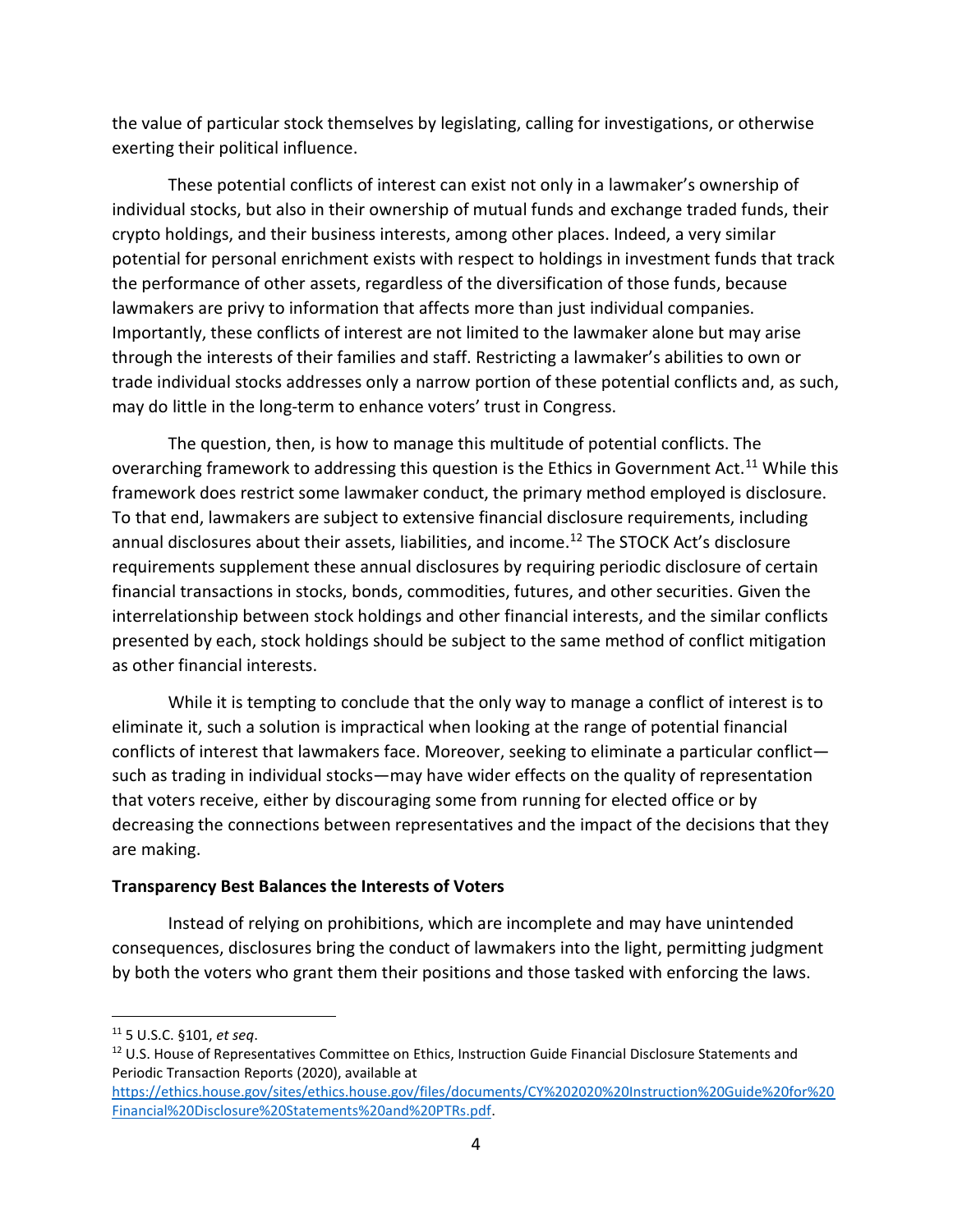the value of particular stock themselves by legislating, calling for investigations, or otherwise exerting their political influence.

These potential conflicts of interest can exist not only in a lawmaker's ownership of individual stocks, but also in their ownership of mutual funds and exchange traded funds, their crypto holdings, and their business interests, among other places. Indeed, a very similar potential for personal enrichment exists with respect to holdings in investment funds that track the performance of other assets, regardless of the diversification of those funds, because lawmakers are privy to information that affects more than just individual companies. Importantly, these conflicts of interest are not limited to the lawmaker alone but may arise through the interests of their families and staff. Restricting a lawmaker's abilities to own or trade individual stocks addresses only a narrow portion of these potential conflicts and, as such, may do little in the long-term to enhance voters' trust in Congress.

The question, then, is how to manage this multitude of potential conflicts. The overarching framework to addressing this question is the Ethics in Government Act.<sup>11</sup> While this framework does restrict some lawmaker conduct, the primary method employed is disclosure. To that end, lawmakers are subject to extensive financial disclosure requirements, including annual disclosures about their assets, liabilities, and income.<sup>12</sup> The STOCK Act's disclosure requirements supplement these annual disclosures by requiring periodic disclosure of certain financial transactions in stocks, bonds, commodities, futures, and other securities. Given the interrelationship between stock holdings and other financial interests, and the similar conflicts presented by each, stock holdings should be subject to the same method of conflict mitigation as other financial interests.

While it is tempting to conclude that the only way to manage a conflict of interest is to eliminate it, such a solution is impractical when looking at the range of potential financial conflicts of interest that lawmakers face. Moreover, seeking to eliminate a particular conflict such as trading in individual stocks—may have wider effects on the quality of representation that voters receive, either by discouraging some from running for elected office or by decreasing the connections between representatives and the impact of the decisions that they are making.

## Transparency Best Balances the Interests of Voters

Instead of relying on prohibitions, which are incomplete and may have unintended consequences, disclosures bring the conduct of lawmakers into the light, permitting judgment by both the voters who grant them their positions and those tasked with enforcing the laws.

 $11$  5 U.S.C. §101, et seq.

<sup>&</sup>lt;sup>12</sup> U.S. House of Representatives Committee on Ethics, Instruction Guide Financial Disclosure Statements and Periodic Transaction Reports (2020), available at

https://ethics.house.gov/sites/ethics.house.gov/files/documents/CY%202020%20Instruction%20Guide%20for%20 Financial%20Disclosure%20Statements%20and%20PTRs.pdf.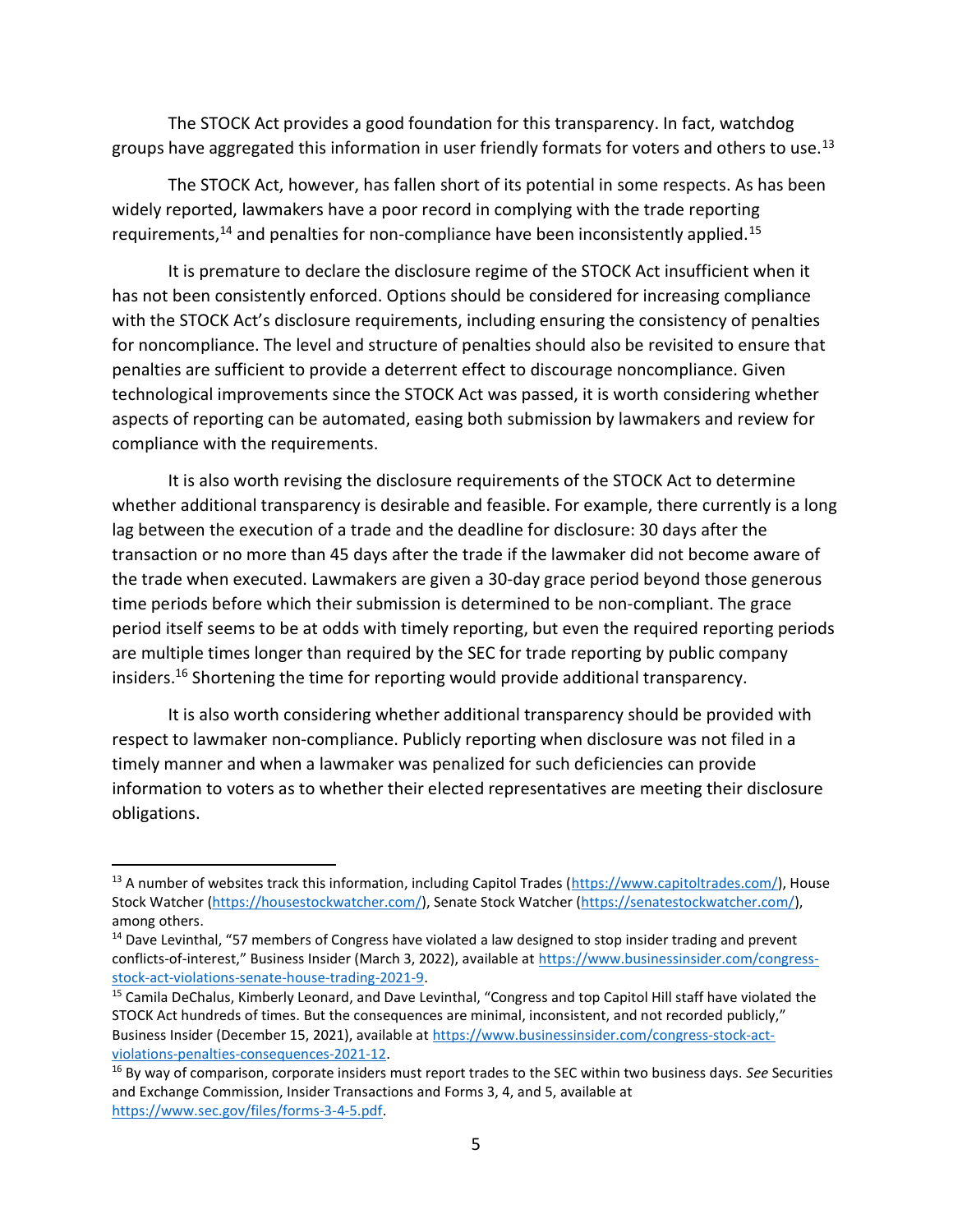The STOCK Act provides a good foundation for this transparency. In fact, watchdog groups have aggregated this information in user friendly formats for voters and others to use.<sup>13</sup>

The STOCK Act, however, has fallen short of its potential in some respects. As has been widely reported, lawmakers have a poor record in complying with the trade reporting requirements,<sup>14</sup> and penalties for non-compliance have been inconsistently applied.<sup>15</sup>

It is premature to declare the disclosure regime of the STOCK Act insufficient when it has not been consistently enforced. Options should be considered for increasing compliance with the STOCK Act's disclosure requirements, including ensuring the consistency of penalties for noncompliance. The level and structure of penalties should also be revisited to ensure that penalties are sufficient to provide a deterrent effect to discourage noncompliance. Given technological improvements since the STOCK Act was passed, it is worth considering whether aspects of reporting can be automated, easing both submission by lawmakers and review for compliance with the requirements.

It is also worth revising the disclosure requirements of the STOCK Act to determine whether additional transparency is desirable and feasible. For example, there currently is a long lag between the execution of a trade and the deadline for disclosure: 30 days after the transaction or no more than 45 days after the trade if the lawmaker did not become aware of the trade when executed. Lawmakers are given a 30-day grace period beyond those generous time periods before which their submission is determined to be non-compliant. The grace period itself seems to be at odds with timely reporting, but even the required reporting periods are multiple times longer than required by the SEC for trade reporting by public company insiders.<sup>16</sup> Shortening the time for reporting would provide additional transparency.

It is also worth considering whether additional transparency should be provided with respect to lawmaker non-compliance. Publicly reporting when disclosure was not filed in a timely manner and when a lawmaker was penalized for such deficiencies can provide information to voters as to whether their elected representatives are meeting their disclosure obligations.

<sup>13</sup> A number of websites track this information, including Capitol Trades (https://www.capitoltrades.com/), House Stock Watcher (https://housestockwatcher.com/), Senate Stock Watcher (https://senatestockwatcher.com/), among others.

<sup>&</sup>lt;sup>14</sup> Dave Levinthal, "57 members of Congress have violated a law designed to stop insider trading and prevent conflicts-of-interest," Business Insider (March 3, 2022), available at https://www.businessinsider.com/congressstock-act-violations-senate-house-trading-2021-9.

<sup>&</sup>lt;sup>15</sup> Camila DeChalus, Kimberly Leonard, and Dave Levinthal, "Congress and top Capitol Hill staff have violated the STOCK Act hundreds of times. But the consequences are minimal, inconsistent, and not recorded publicly," Business Insider (December 15, 2021), available at https://www.businessinsider.com/congress-stock-actviolations-penalties-consequences-2021-12.

<sup>&</sup>lt;sup>16</sup> By way of comparison, corporate insiders must report trades to the SEC within two business days. See Securities and Exchange Commission, Insider Transactions and Forms 3, 4, and 5, available at https://www.sec.gov/files/forms-3-4-5.pdf.